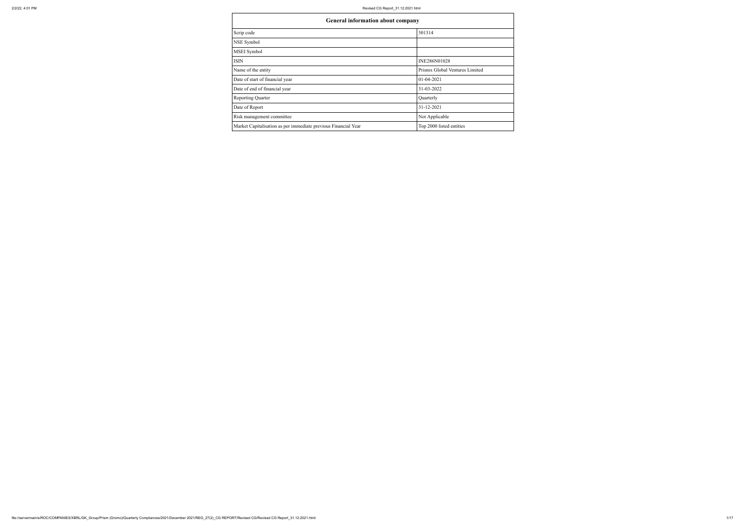| <b>General information about company</b>                       |                                |
|----------------------------------------------------------------|--------------------------------|
| Scrip code                                                     | 501314                         |
| NSE Symbol                                                     |                                |
| MSEI Symbol                                                    |                                |
| <b>ISIN</b>                                                    | INE286N01028                   |
| Name of the entity                                             | Prismx Global Ventures Limited |
| Date of start of financial year                                | $01 - 04 - 2021$               |
| Date of end of financial year                                  | 31-03-2022                     |
| <b>Reporting Quarter</b>                                       | Quarterly                      |
| Date of Report                                                 | 31-12-2021                     |
| Risk management committee                                      | Not Applicable                 |
| Market Capitalisation as per immediate previous Financial Year | Top 2000 listed entities       |

| company |                                |
|---------|--------------------------------|
|         | 501314                         |
|         |                                |
|         |                                |
|         | INE286N01028                   |
|         | Prismx Global Ventures Limited |
|         | 01-04-2021                     |
|         | 31-03-2022                     |
|         | Quarterly                      |
|         | 31-12-2021                     |
|         | Not Applicable                 |
|         | Top 2000 listed entities       |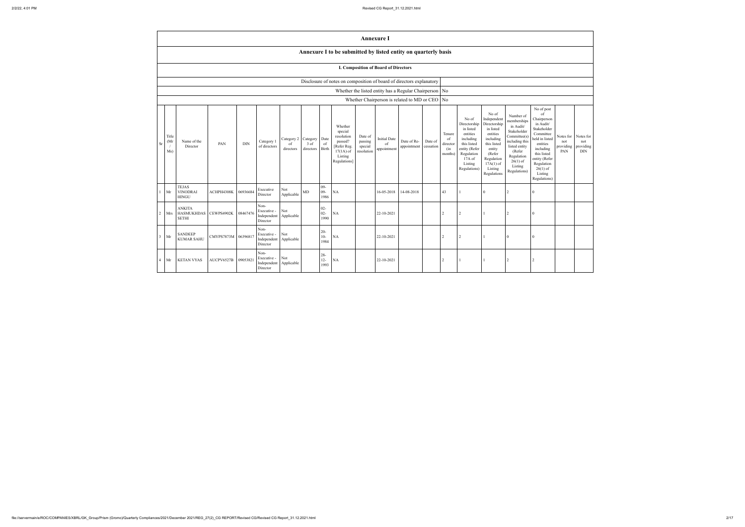|                |                                                        |                                                                |                     |            |                                                               |                                                 |                   |                          |                                                                                                      |                                             | <b>Annexure I</b>                                        |                            |                      |                                            |                                                                                                                                                  |                                                                                                                                                                      |                                                                                                                                                                          |                                                                                                                                                                                                            |                                      |                                      |
|----------------|--------------------------------------------------------|----------------------------------------------------------------|---------------------|------------|---------------------------------------------------------------|-------------------------------------------------|-------------------|--------------------------|------------------------------------------------------------------------------------------------------|---------------------------------------------|----------------------------------------------------------|----------------------------|----------------------|--------------------------------------------|--------------------------------------------------------------------------------------------------------------------------------------------------|----------------------------------------------------------------------------------------------------------------------------------------------------------------------|--------------------------------------------------------------------------------------------------------------------------------------------------------------------------|------------------------------------------------------------------------------------------------------------------------------------------------------------------------------------------------------------|--------------------------------------|--------------------------------------|
|                |                                                        | Annexure I to be submitted by listed entity on quarterly basis |                     |            |                                                               |                                                 |                   |                          |                                                                                                      |                                             |                                                          |                            |                      |                                            |                                                                                                                                                  |                                                                                                                                                                      |                                                                                                                                                                          |                                                                                                                                                                                                            |                                      |                                      |
|                |                                                        |                                                                |                     |            |                                                               |                                                 |                   |                          |                                                                                                      |                                             | I. Composition of Board of Directors                     |                            |                      |                                            |                                                                                                                                                  |                                                                                                                                                                      |                                                                                                                                                                          |                                                                                                                                                                                                            |                                      |                                      |
|                |                                                        |                                                                |                     |            |                                                               |                                                 |                   |                          | Disclosure of notes on composition of board of directors explanatory                                 |                                             |                                                          |                            |                      |                                            |                                                                                                                                                  |                                                                                                                                                                      |                                                                                                                                                                          |                                                                                                                                                                                                            |                                      |                                      |
|                |                                                        |                                                                |                     |            |                                                               |                                                 |                   |                          |                                                                                                      |                                             | Whether the listed entity has a Regular Chairperson   No |                            |                      |                                            |                                                                                                                                                  |                                                                                                                                                                      |                                                                                                                                                                          |                                                                                                                                                                                                            |                                      |                                      |
|                | Whether Chairperson is related to MD or CEO $\vert$ No |                                                                |                     |            |                                                               |                                                 |                   |                          |                                                                                                      |                                             |                                                          |                            |                      |                                            |                                                                                                                                                  |                                                                                                                                                                      |                                                                                                                                                                          |                                                                                                                                                                                                            |                                      |                                      |
| <b>Sr</b>      | Title<br>(Mr)<br>Ms)                                   | Name of the<br>Director                                        | PAN                 | <b>DIN</b> | Category 1<br>of directors                                    | Category 2   Category   Date<br>of<br>directors | 3 of<br>directors | of<br><b>Birth</b>       | Whether<br>special<br>resolution<br>passed?<br>[Refer Reg.<br>$17(1A)$ of<br>Listing<br>Regulations] | Date of<br>passing<br>special<br>resolution | <b>Initial Date</b><br>of<br>appointment                 | Date of Re-<br>appointment | Date of<br>cessation | Tenure<br>of<br>director<br>(in<br>months) | No of<br>Directorship<br>in listed<br>entities<br>including<br>this listed<br>entity (Refer<br>Regulation<br>$17A$ of<br>Listing<br>Regulations) | No of<br>Independent<br>Directorship<br>in listed<br>entities<br>including<br>this listed<br>entity<br>(Refer<br>Regulation<br>$17A(1)$ of<br>Listing<br>Regulations | Number of<br>memberships<br>in Audit/<br>Stakeholder<br>Committee(s)<br>including this<br>listed entity<br>(Refer<br>Regulation<br>$26(1)$ of<br>Listing<br>Regulations) | No of post<br>of<br>Chairperson<br>in Audit/<br>Stakeholder<br>Committee<br>held in listed<br>entities<br>including<br>this listed<br>entity (Refer<br>Regulation<br>$26(1)$ of<br>Listing<br>Regulations) | Notes for<br>not<br>providing<br>PAN | Notes for<br>not<br>providing<br>DIN |
|                | Mr                                                     | <b>TEJAS</b><br><b>VINODRAI</b><br><b>HINGU</b>                | ACHPH4308K          | 06936684   | Executive<br>Director                                         | Not<br>Applicable                               | MD                | $09 -$<br>$09 -$<br>1986 | $\rm NA$                                                                                             |                                             | 16-05-2018                                               | 14-08-2018                 |                      | 43                                         |                                                                                                                                                  | $\Omega$                                                                                                                                                             | 2                                                                                                                                                                        | $\theta$                                                                                                                                                                                                   |                                      |                                      |
| $\overline{2}$ | Mrs                                                    | <b>ANKITA</b><br>HASMUKHDAS CEWPS4902K<br><b>SETHI</b>         |                     | 08467476   | Non-<br>Executive -<br>Independent<br>Director                | Not<br>Applicable                               |                   | $02 -$<br>$02 -$<br>1990 | $\rm NA$                                                                                             |                                             | 22-10-2021                                               |                            |                      | $\mathcal{D}$                              | $\overline{2}$                                                                                                                                   |                                                                                                                                                                      | 2                                                                                                                                                                        | $\theta$                                                                                                                                                                                                   |                                      |                                      |
|                | $3$ Mr                                                 | <b>SANDEEP</b><br><b>KUMAR SAHU</b>                            | CMYPS7873M 06396817 |            | Non-<br>Executive - Not<br>Independent Applicable<br>Director |                                                 |                   | $20 -$<br>$10-$<br>1984  | $\rm NA$                                                                                             |                                             | 22-10-2021                                               |                            |                      | $\overline{2}$                             | $\overline{2}$                                                                                                                                   |                                                                                                                                                                      | $\overline{0}$                                                                                                                                                           | $\theta$                                                                                                                                                                                                   |                                      |                                      |
|                | $4$ Mr                                                 | <b>KETAN VYAS</b>                                              | AUCPV6527B 09053821 |            | Non-<br>Executive - Not<br>Independent Applicable<br>Director |                                                 |                   | $28 -$<br>$12 -$<br>1993 | $\rm NA$                                                                                             |                                             | 22-10-2021                                               |                            |                      | $\overline{2}$                             |                                                                                                                                                  |                                                                                                                                                                      | $\overline{2}$                                                                                                                                                           | $\sqrt{2}$                                                                                                                                                                                                 |                                      |                                      |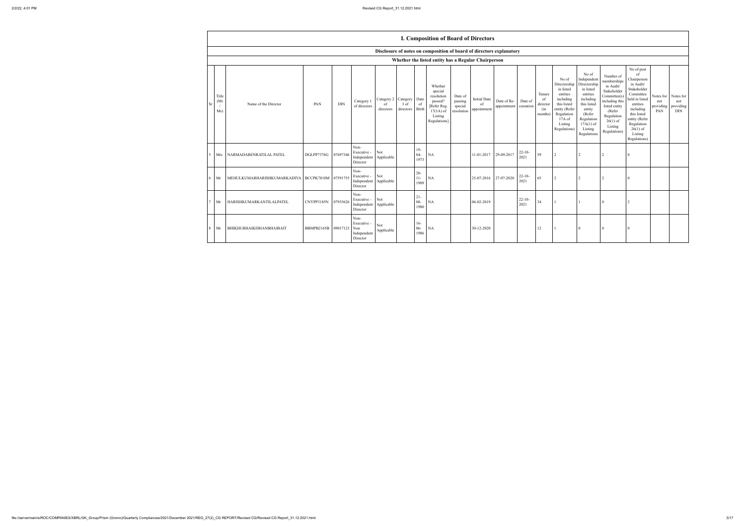| 2/2/22, 4:01 PM |  |
|-----------------|--|
|                 |  |

|    |                                                     |                                                     |                     |            |                                                     |                                        |                   |                          | <b>I. Composition of Board of Directors</b>                                                          |                                             |                                          |                            |                      |                                            |                                                                                                                                                |                                                                                                                                                                      |                                                                                                                                                                          |                                                                                                                                                                                                            |                                      |                                      |
|----|-----------------------------------------------------|-----------------------------------------------------|---------------------|------------|-----------------------------------------------------|----------------------------------------|-------------------|--------------------------|------------------------------------------------------------------------------------------------------|---------------------------------------------|------------------------------------------|----------------------------|----------------------|--------------------------------------------|------------------------------------------------------------------------------------------------------------------------------------------------|----------------------------------------------------------------------------------------------------------------------------------------------------------------------|--------------------------------------------------------------------------------------------------------------------------------------------------------------------------|------------------------------------------------------------------------------------------------------------------------------------------------------------------------------------------------------------|--------------------------------------|--------------------------------------|
|    |                                                     |                                                     |                     |            |                                                     |                                        |                   |                          | Disclosure of notes on composition of board of directors explanatory                                 |                                             |                                          |                            |                      |                                            |                                                                                                                                                |                                                                                                                                                                      |                                                                                                                                                                          |                                                                                                                                                                                                            |                                      |                                      |
|    | Whether the listed entity has a Regular Chairperson |                                                     |                     |            |                                                     |                                        |                   |                          |                                                                                                      |                                             |                                          |                            |                      |                                            |                                                                                                                                                |                                                                                                                                                                      |                                                                                                                                                                          |                                                                                                                                                                                                            |                                      |                                      |
| Sr | Title<br>(Mr)<br>Ms)                                | Name of the Director                                | PAN                 | <b>DIN</b> | Category 1<br>of directors                          | Category 2 Category<br>of<br>directors | 3 of<br>directors | Date<br>of<br>Birth      | Whether<br>special<br>resolution<br>passed?<br>[Refer Reg.<br>$17(1A)$ of<br>Listing<br>Regulations] | Date of<br>passing<br>special<br>resolution | <b>Initial Date</b><br>of<br>appointment | Date of Re-<br>appointment | Date of<br>cessation | Tenure<br>of<br>director<br>(in<br>months) | No of<br>Directorship<br>in listed<br>entities<br>including<br>this listed<br>entity (Refer<br>Regulation<br>17A of<br>Listing<br>Regulations) | No of<br>Independent<br>Directorship<br>in listed<br>entities<br>including<br>this listed<br>entity<br>(Refer<br>Regulation<br>$17A(1)$ of<br>Listing<br>Regulations | Number of<br>memberships<br>in Audit/<br>Stakeholder<br>Committee(s)<br>including this<br>listed entity<br>(Refer<br>Regulation<br>$26(1)$ of<br>Listing<br>Regulations) | No of post<br>of<br>Chairperson<br>in Audit/<br>Stakeholder<br>Committee<br>held in listed<br>entities<br>including<br>this listed<br>entity (Refer<br>Regulation<br>$26(1)$ of<br>Listing<br>Regulations) | Notes for<br>not<br>providing<br>PAN | Notes for<br>not<br>providing<br>DIN |
|    |                                                     | 5 Mrs NARMADABENRATILAL PATEL                       | DGLPP7376G          | 07697346   | Non-<br>Executive -<br>Independent<br>Director      | Not<br>Applicable                      |                   | $19-$<br>$04 -$<br>1973  | <b>NA</b>                                                                                            |                                             | 11-01-2017                               | 29-09-2017                 | $22-10-$<br>2021     | 59                                         | 2                                                                                                                                              | 2                                                                                                                                                                    | $\overline{2}$                                                                                                                                                           | $\Omega$                                                                                                                                                                                                   |                                      |                                      |
|    | $6$ Mr                                              | MEHULKUMARHARISHKUMARKADIYA   BCCPK7818M   07591755 |                     |            | Non-<br>Executive -<br>Independent<br>Director      | Not<br>Applicable                      |                   | $20-$<br>$11-$<br>1989   | <b>NA</b>                                                                                            |                                             | 25-07-2016 27-07-2020                    |                            | $22 - 10$<br>2021    | 65                                         | 2                                                                                                                                              | 2                                                                                                                                                                    | $\overline{2}$                                                                                                                                                           | $\theta$                                                                                                                                                                                                   |                                      |                                      |
|    | $7$ Mr                                              | HARISHKUMARKANTILALPATEL                            | CNYPP3185N          | 07935626   | Non-<br>Executive -<br>Independent<br>Director      | Not<br>Applicable                      |                   | $21 -$<br>$08 -$<br>1980 | <b>NA</b>                                                                                            |                                             | 06-02-2019                               |                            | $22-10-$<br>2021     | 34                                         |                                                                                                                                                |                                                                                                                                                                      | $\theta$                                                                                                                                                                 | $\overline{2}$                                                                                                                                                                                             |                                      |                                      |
|    | 8 Mr                                                | BHIKHUBHAIKISHANBHAIBAIT                            | BBMPB2165B 09017123 |            | Non-<br>Executive<br>Non<br>Independent<br>Director | Not<br>Applicable                      |                   | $16-$<br>$06 -$<br>1986  | <b>NA</b>                                                                                            |                                             | 30-12-2020                               |                            |                      | 12                                         |                                                                                                                                                | $\Omega$                                                                                                                                                             | $\theta$                                                                                                                                                                 | $\overline{0}$                                                                                                                                                                                             |                                      |                                      |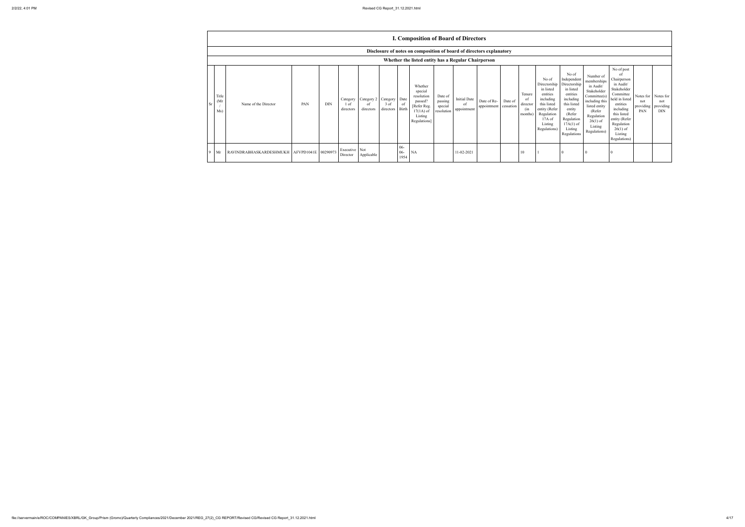|    |                     |                                                 |     |            |                               |                                         |                     |                          | <b>I. Composition of Board of Directors</b>                                                          |                                             |                                          |                            |                      |                                             |                                                                                                                                                  |                                                                                                                                                                      |                                                                                                                                                                         |                                                                                                                                                                                                            |                                      |                                             |
|----|---------------------|-------------------------------------------------|-----|------------|-------------------------------|-----------------------------------------|---------------------|--------------------------|------------------------------------------------------------------------------------------------------|---------------------------------------------|------------------------------------------|----------------------------|----------------------|---------------------------------------------|--------------------------------------------------------------------------------------------------------------------------------------------------|----------------------------------------------------------------------------------------------------------------------------------------------------------------------|-------------------------------------------------------------------------------------------------------------------------------------------------------------------------|------------------------------------------------------------------------------------------------------------------------------------------------------------------------------------------------------------|--------------------------------------|---------------------------------------------|
|    |                     |                                                 |     |            |                               |                                         |                     |                          | Disclosure of notes on composition of board of directors explanatory                                 |                                             |                                          |                            |                      |                                             |                                                                                                                                                  |                                                                                                                                                                      |                                                                                                                                                                         |                                                                                                                                                                                                            |                                      |                                             |
|    |                     |                                                 |     |            |                               |                                         |                     |                          | Whether the listed entity has a Regular Chairperson                                                  |                                             |                                          |                            |                      |                                             |                                                                                                                                                  |                                                                                                                                                                      |                                                                                                                                                                         |                                                                                                                                                                                                            |                                      |                                             |
| Sr | Title<br>(Mr<br>Ms) | Name of the Director                            | PAN | <b>DIN</b> | Category<br>1 of<br>directors | Category 2 Category<br>-ot<br>directors | $3$ of<br>directors | Date<br>- of<br>Birth    | Whether<br>special<br>resolution<br>passed?<br>[Refer Reg.<br>$17(1A)$ of<br>Listing<br>Regulations] | Date of<br>passing<br>special<br>resolution | <b>Initial Date</b><br>of<br>appointment | Date of Re-<br>appointment | Date of<br>cessation | Tenure<br>-of<br>director<br>(in<br>months) | No of<br>Directorship<br>in listed<br>entities<br>including<br>this listed<br>entity (Refer<br>Regulation<br>$17A$ of<br>Listing<br>Regulations) | No of<br>Independent<br>Directorship<br>in listed<br>entities<br>including<br>this listed<br>entity<br>(Refer<br>Regulation<br>$17A(1)$ of<br>Listing<br>Regulations | Number of<br>memberships<br>in Audit/<br>Stakeholder<br>Commitee(s)<br>including this<br>listed entity<br>(Refer<br>Regulation<br>$26(1)$ of<br>Listing<br>Regulations) | No of post<br>of<br>Chairperson<br>in Audit/<br>Stakeholder<br>Committee<br>held in listed<br>entities<br>including<br>this listed<br>entity (Refer<br>Regulation<br>$26(1)$ of<br>Listing<br>Regulations) | Notes for<br>not<br>providing<br>PAN | Notes for<br>not<br>providing<br><b>DIN</b> |
|    | Mr                  | RAVINDRABHASKARDESHMUKH   AFVPD1041E   00290973 |     |            | Executive Not<br>Director     | Applicable                              |                     | $06 -$<br>$06 -$<br>1954 | <b>NA</b>                                                                                            |                                             | 11-02-2021                               |                            |                      | 10                                          |                                                                                                                                                  |                                                                                                                                                                      |                                                                                                                                                                         |                                                                                                                                                                                                            |                                      |                                             |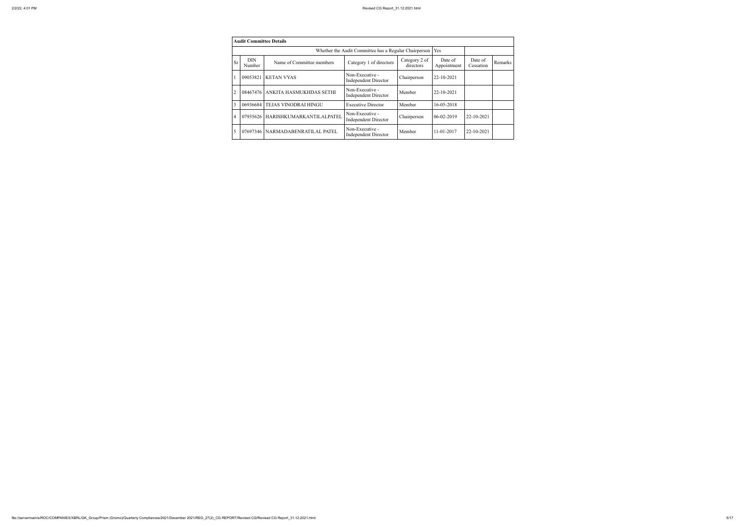|           | <b>Audit Committee Details</b> |                           |                                                       |                            |                        |                      |         |
|-----------|--------------------------------|---------------------------|-------------------------------------------------------|----------------------------|------------------------|----------------------|---------|
|           |                                |                           | Whether the Audit Committee has a Regular Chairperson |                            | Yes                    |                      |         |
| <b>Sr</b> | <b>DIN</b><br>Number           | Name of Committee members | Category 1 of directors                               | Category 2 of<br>directors | Date of<br>Appointment | Date of<br>Cessation | Remarks |
|           | 09053821                       | <b>KETAN VYAS</b>         | Non-Executive -<br><b>Independent Director</b>        | Chairperson                | 22-10-2021             |                      |         |
| 2         | 08467476                       | ANKITA HASMUKHDAS SETHI   | Non-Executive -<br><b>Independent Director</b>        | Member                     | 22-10-2021             |                      |         |
| 3         | 06936684                       | TEJAS VINODRAI HINGU      | <b>Executive Director</b>                             | Member                     | 16-05-2018             |                      |         |
| 4         | 07935626                       | HARISHKUMARKANTILALPATEL  | Non-Executive -<br><b>Independent Director</b>        | Chairperson                | 06-02-2019             | 22-10-2021           |         |
| 5         | 07697346                       | NARMADABENRATILAL PATEL   | Non-Executive -<br>Independent Director               | Member                     | $11 - 01 - 2017$       | 22-10-2021           |         |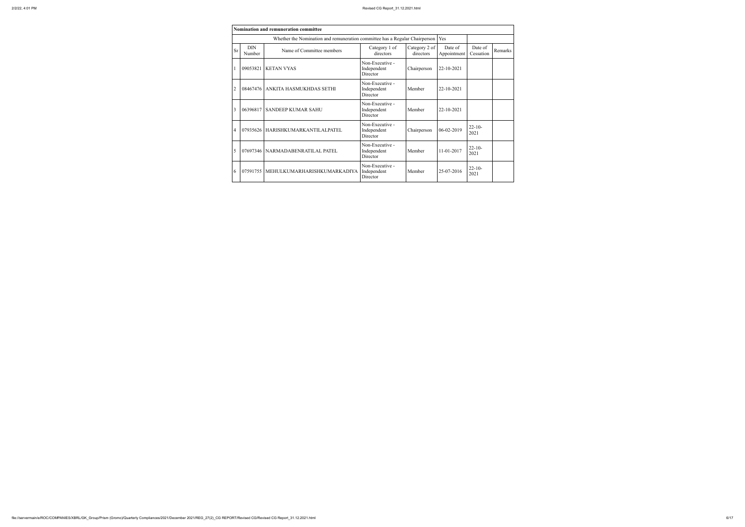|                | <b>Nomination and remuneration committee</b> |                                                                             |                                            |                            |                        |                      |         |  |  |  |  |  |  |
|----------------|----------------------------------------------|-----------------------------------------------------------------------------|--------------------------------------------|----------------------------|------------------------|----------------------|---------|--|--|--|--|--|--|
|                |                                              | Whether the Nomination and remuneration committee has a Regular Chairperson |                                            |                            | Yes                    |                      |         |  |  |  |  |  |  |
| <b>Sr</b>      | <b>DIN</b><br>Number                         | Name of Committee members                                                   | Category 1 of<br>directors                 | Category 2 of<br>directors | Date of<br>Appointment | Date of<br>Cessation | Remarks |  |  |  |  |  |  |
|                | 09053821                                     | <b>KETAN VYAS</b>                                                           | Non-Executive -<br>Independent<br>Director | Chairperson                | 22-10-2021             |                      |         |  |  |  |  |  |  |
| $\overline{2}$ |                                              | 08467476   ANKITA HASMUKHDAS SETHI                                          | Non-Executive -<br>Independent<br>Director | Member                     | 22-10-2021             |                      |         |  |  |  |  |  |  |
| 3              |                                              | 06396817 SANDEEP KUMAR SAHU                                                 | Non-Executive -<br>Independent<br>Director | Member                     | 22-10-2021             |                      |         |  |  |  |  |  |  |
| 4              |                                              | 07935626   HARISHKUMARKANTILALPATEL                                         | Non-Executive -<br>Independent<br>Director | Chairperson                | 06-02-2019             | $22 - 10$<br>2021    |         |  |  |  |  |  |  |
| 5              |                                              | 07697346   NARMADABENRATILAL PATEL                                          | Non-Executive -<br>Independent<br>Director | Member                     | 11-01-2017             | $22 - 10 -$<br>2021  |         |  |  |  |  |  |  |
| 6              | 07591755                                     | MEHULKUMARHARISHKUMARKADIYA                                                 | Non-Executive -<br>Independent<br>Director | Member                     | 25-07-2016             | $22 - 10$<br>2021    |         |  |  |  |  |  |  |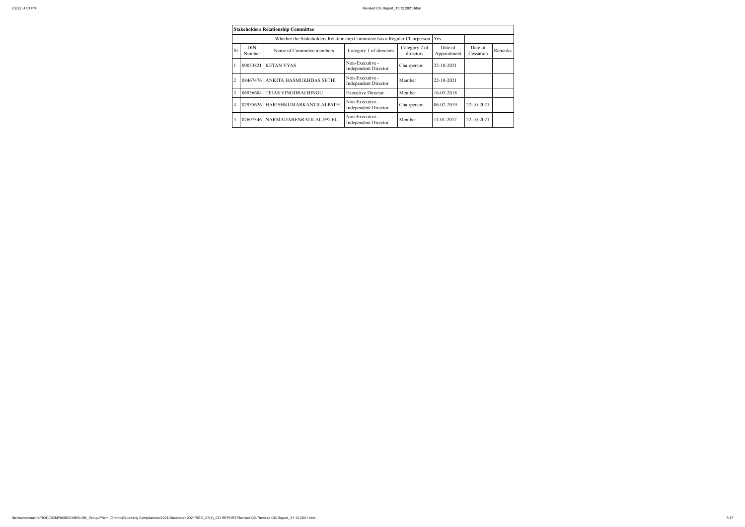|                |                      | <b>Stakeholders Relationship Committee</b>                                |                                                |                            |                        |                      |         |
|----------------|----------------------|---------------------------------------------------------------------------|------------------------------------------------|----------------------------|------------------------|----------------------|---------|
|                |                      | Whether the Stakeholders Relationship Committee has a Regular Chairperson |                                                |                            | Yes                    |                      |         |
| <b>Sr</b>      | <b>DIN</b><br>Number | Name of Committee members                                                 | Category 1 of directors                        | Category 2 of<br>directors | Date of<br>Appointment | Date of<br>Cessation | Remarks |
|                | 09053821             | <b>KETAN VYAS</b>                                                         | Non-Executive -<br><b>Independent Director</b> | Chairperson                | 22-10-2021             |                      |         |
| 2              | 08467476             | ANKITA HASMUKHDAS SETHI                                                   | Non-Executive -<br><b>Independent Director</b> | Member                     | 22-10-2021             |                      |         |
| 3              | 06936684             | TEJAS VINODRAI HINGU                                                      | <b>Executive Director</b>                      | Member                     | 16-05-2018             |                      |         |
| $\overline{4}$ | 07935626             | HARISHKUMARKANTILALPATEL                                                  | Non-Executive -<br><b>Independent Director</b> | Chairperson                | $06-02-2019$           | 22-10-2021           |         |
| 5              | 07697346             | NARMADABENRATILAL PATEL                                                   | Non-Executive -<br><b>Independent Director</b> | Member                     | 11-01-2017             | 22-10-2021           |         |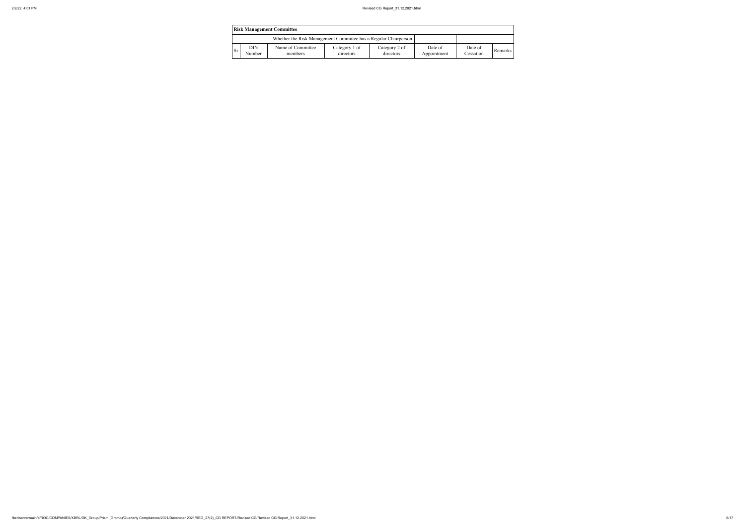|           | <b>Risk Management Committee</b> |                                                                 |                            |                            |                        |                      |         |  |  |  |  |  |  |
|-----------|----------------------------------|-----------------------------------------------------------------|----------------------------|----------------------------|------------------------|----------------------|---------|--|--|--|--|--|--|
|           |                                  | Whether the Risk Management Committee has a Regular Chairperson |                            |                            |                        |                      |         |  |  |  |  |  |  |
| <b>Sr</b> | DIN<br>Number                    | Name of Committee<br>members                                    | Category 1 of<br>directors | Category 2 of<br>directors | Date of<br>Appointment | Date of<br>Cessation | Remarks |  |  |  |  |  |  |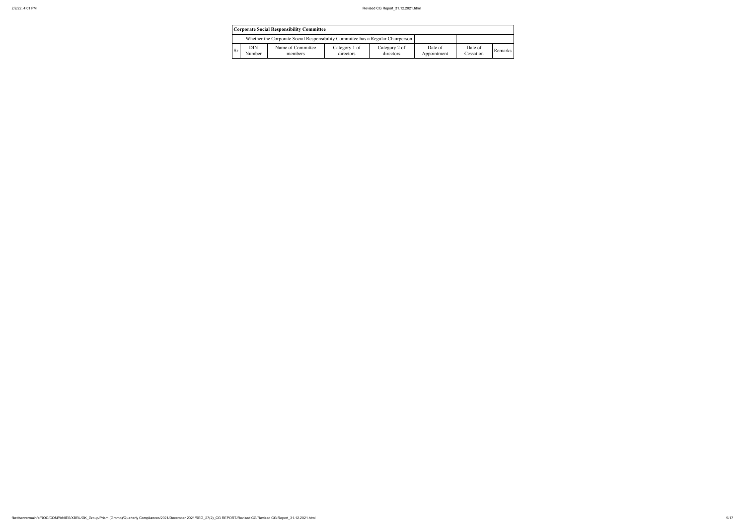|           | <b>Corporate Social Responsibility Committee</b> |                                                                                 |                            |                            |                        |                      |         |  |  |  |  |  |  |
|-----------|--------------------------------------------------|---------------------------------------------------------------------------------|----------------------------|----------------------------|------------------------|----------------------|---------|--|--|--|--|--|--|
|           |                                                  | Whether the Corporate Social Responsibility Committee has a Regular Chairperson |                            |                            |                        |                      |         |  |  |  |  |  |  |
| <b>Sr</b> | DIN<br>Number                                    | Name of Committee<br>members                                                    | Category 1 of<br>directors | Category 2 of<br>directors | Date of<br>Appointment | Date of<br>Cessation | Remarks |  |  |  |  |  |  |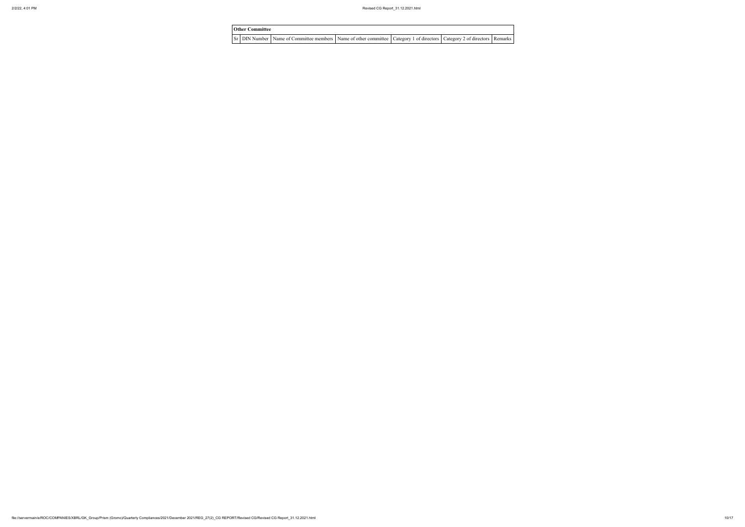# **Other Committee** Sr DIN Number Name of Committee members Name of other committee Category 1 of directors Category 2 of directors Remarks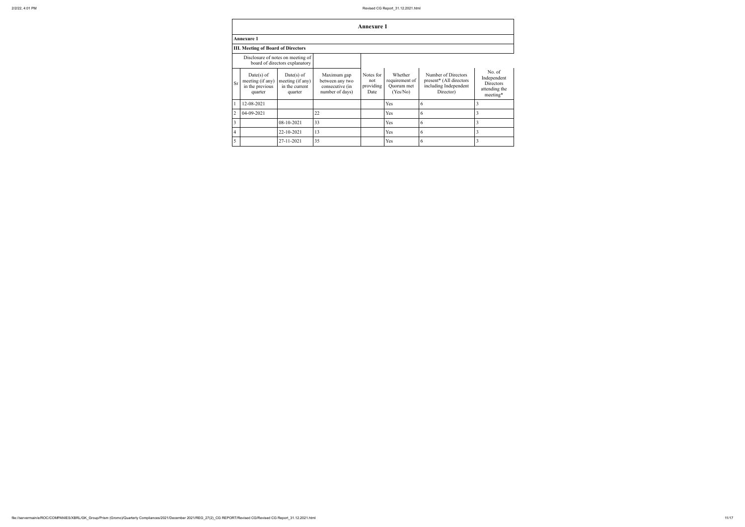|                |                                                                |                                                                     |                                                                      | <b>Annexure 1</b>                     |                                                     |                                                                                      |                                                                 |
|----------------|----------------------------------------------------------------|---------------------------------------------------------------------|----------------------------------------------------------------------|---------------------------------------|-----------------------------------------------------|--------------------------------------------------------------------------------------|-----------------------------------------------------------------|
|                | <b>Annexure 1</b>                                              |                                                                     |                                                                      |                                       |                                                     |                                                                                      |                                                                 |
|                | <b>III. Meeting of Board of Directors</b>                      |                                                                     |                                                                      |                                       |                                                     |                                                                                      |                                                                 |
|                |                                                                | Disclosure of notes on meeting of<br>board of directors explanatory |                                                                      |                                       |                                                     |                                                                                      |                                                                 |
| <b>Sr</b>      | $Date(s)$ of<br>meeting (if any)<br>in the previous<br>quarter | Date(s) of<br>meeting (if any)<br>in the current<br>quarter         | Maximum gap<br>between any two<br>consecutive (in<br>number of days) | Notes for<br>not<br>providing<br>Date | Whether<br>requirement of<br>Quorum met<br>(Yes/No) | Number of Directors<br>present* (All directors<br>including Independent<br>Director) | No. of<br>Independent<br>Directors<br>attending the<br>meeting* |
|                | 12-08-2021                                                     |                                                                     |                                                                      |                                       | Yes                                                 | 6                                                                                    | 3                                                               |
| $\overline{2}$ | 04-09-2021                                                     |                                                                     | 22                                                                   |                                       | Yes                                                 | 6                                                                                    | 3                                                               |
| 3              |                                                                | 08-10-2021                                                          | 33                                                                   |                                       | Yes                                                 | 6                                                                                    | 3                                                               |
| $\overline{4}$ |                                                                | 22-10-2021                                                          | 13                                                                   |                                       | Yes                                                 | 6                                                                                    | 3                                                               |
| 5              |                                                                | 27-11-2021                                                          | 35                                                                   |                                       | Yes                                                 | 6                                                                                    | 3                                                               |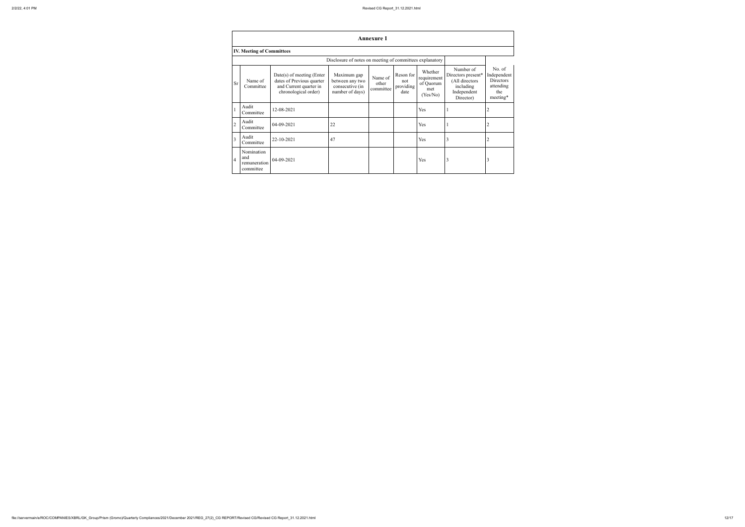|                | <b>Annexure 1</b>                                        |                                                                                                            |                                                                      |                               |                                       |                                                        |                                                                                            |                                                                    |
|----------------|----------------------------------------------------------|------------------------------------------------------------------------------------------------------------|----------------------------------------------------------------------|-------------------------------|---------------------------------------|--------------------------------------------------------|--------------------------------------------------------------------------------------------|--------------------------------------------------------------------|
|                | <b>IV. Meeting of Committees</b>                         |                                                                                                            |                                                                      |                               |                                       |                                                        |                                                                                            |                                                                    |
|                | Disclosure of notes on meeting of committees explanatory |                                                                                                            |                                                                      |                               |                                       |                                                        |                                                                                            |                                                                    |
| <b>Sr</b>      | Name of<br>Committee                                     | $Date(s)$ of meeting (Enter<br>dates of Previous quarter<br>and Current quarter in<br>chronological order) | Maximum gap<br>between any two<br>consecutive (in<br>number of days) | Name of<br>other<br>committee | Reson for<br>not<br>providing<br>date | Whether<br>requirement<br>of Quorum<br>met<br>(Yes/No) | Number of<br>Directors present*<br>(All directors<br>including<br>Independent<br>Director) | No. of<br>Independent<br>Directors<br>attending<br>the<br>meeting* |
|                | Audit<br>Committee                                       | 12-08-2021                                                                                                 |                                                                      |                               |                                       | Yes                                                    |                                                                                            |                                                                    |
| $\overline{2}$ | Audit<br>Committee                                       | 04-09-2021                                                                                                 | 22                                                                   |                               |                                       | Yes                                                    |                                                                                            | $\overline{2}$                                                     |
| $\overline{3}$ | Audit<br>Committee                                       | 22-10-2021                                                                                                 | 47                                                                   |                               |                                       | Yes                                                    | 3                                                                                          | $\overline{2}$                                                     |
| $\overline{4}$ | Nomination<br>and<br>remuneration<br>committee           | 04-09-2021                                                                                                 |                                                                      |                               |                                       | Yes                                                    | 3                                                                                          | 3                                                                  |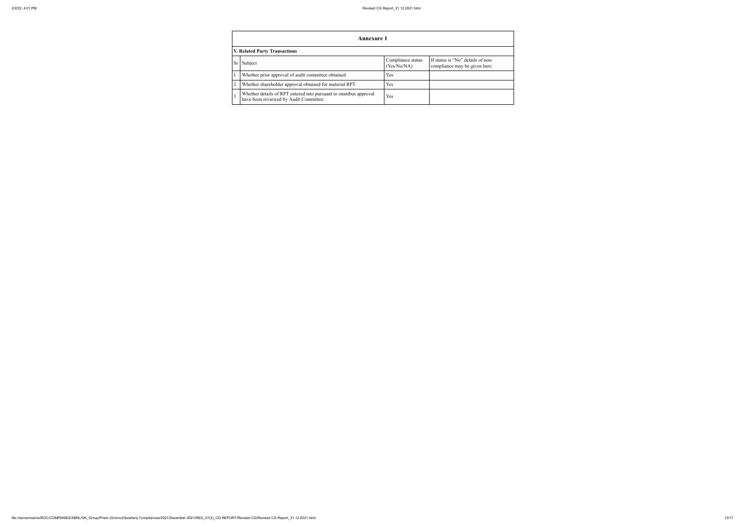## **Annexure 1 V. Related Party Transactions**  $\begin{array}{c|c}\n\text{Subject} & \text{Complex} \\
\hline\n\end{array}$  $\frac{(Yes/N)}{Yes}$ Whether prior approval of audit committee obtained<br>
Whether shareholder approval obtained for material RPT<br>
Yes Whether shareholder approval obtained for material RPT

3 Whether details of RPT entered into pursuant to omnibus approval Pres

| liance status<br>$\sqrt{6/NA}$ | If status is "No" details of non-<br>compliance may be given here. |
|--------------------------------|--------------------------------------------------------------------|
|                                |                                                                    |
|                                |                                                                    |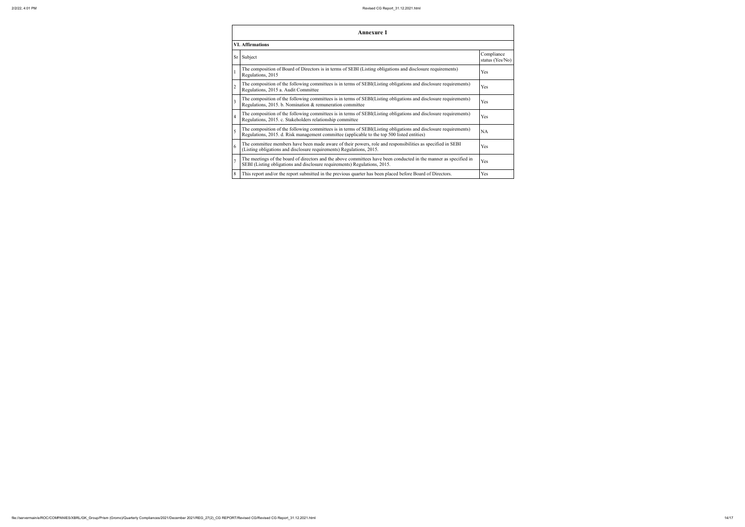|                         | <b>Annexure 1</b>                                                                                                                                                                                               |                         |  |  |
|-------------------------|-----------------------------------------------------------------------------------------------------------------------------------------------------------------------------------------------------------------|-------------------------|--|--|
| <b>VI. Affirmations</b> |                                                                                                                                                                                                                 |                         |  |  |
|                         | Sr Subject                                                                                                                                                                                                      | Co <sub>1</sub><br>stat |  |  |
|                         | The composition of Board of Directors is in terms of SEBI (Listing obligations and disclosure requirements)<br>Regulations, 2015                                                                                | Yes                     |  |  |
| $\overline{2}$          | The composition of the following committees is in terms of SEBI(Listing obligations and disclosure requirements)<br>Regulations, 2015 a. Audit Committee                                                        | Yes                     |  |  |
| 3                       | The composition of the following committees is in terms of SEBI(Listing obligations and disclosure requirements)<br>Regulations, 2015. b. Nomination & remuneration committee                                   | Yes                     |  |  |
| 4                       | The composition of the following committees is in terms of SEBI(Listing obligations and disclosure requirements)<br>Regulations, 2015. c. Stakeholders relationship committee                                   | Yes                     |  |  |
| 5                       | The composition of the following committees is in terms of SEBI(Listing obligations and disclosure requirements)<br>Regulations, 2015. d. Risk management committee (applicable to the top 500 listed entities) | <b>NA</b>               |  |  |
| 6                       | The committee members have been made aware of their powers, role and responsibilities as specified in SEBI<br>(Listing obligations and disclosure requirements) Regulations, 2015.                              | Yes                     |  |  |
| $\overline{7}$          | The meetings of the board of directors and the above committees have been conducted in the manner as specified in<br>SEBI (Listing obligations and disclosure requirements) Regulations, 2015.                  | Yes                     |  |  |
| 8                       | This report and/or the report submitted in the previous quarter has been placed before Board of Directors.                                                                                                      | Yes                     |  |  |

|                                                         | Compliance<br>status (Yes/No) |
|---------------------------------------------------------|-------------------------------|
| and disclosure requirements)                            | Yes                           |
| gations and disclosure requirements)                    | Yes                           |
| gations and disclosure requirements)                    | Yes                           |
| gations and disclosure requirements)                    | Yes                           |
| gations and disclosure requirements)<br>isted entities) | NA                            |
| onsibilities as specified in SEBI                       | Yes                           |
| nducted in the manner as specified in                   | Yes                           |
| hefore Board of Directors                               | Yes                           |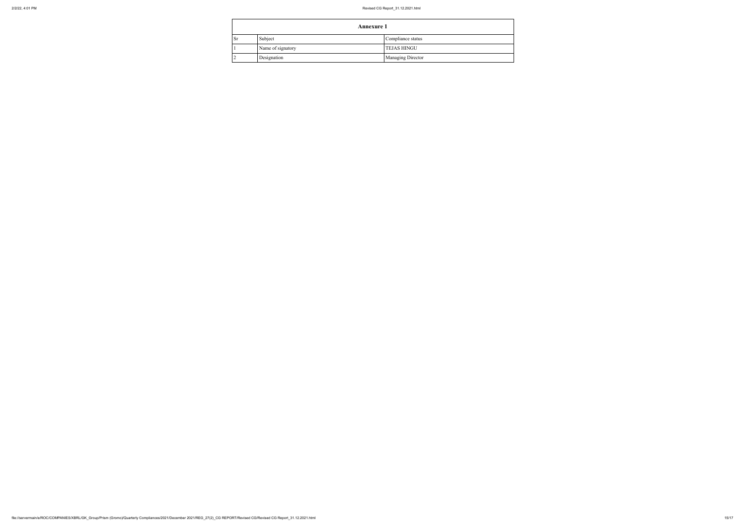|           |                   | <b>Annexure 1</b>        |  |  |
|-----------|-------------------|--------------------------|--|--|
| <b>Sr</b> | Subject           | Compliance status        |  |  |
|           | Name of signatory | <b>TEJAS HINGU</b>       |  |  |
|           | Designation       | <b>Managing Director</b> |  |  |

 $\Gamma$ 

| liance status |
|---------------|
| S HINGU       |
| ging Director |
|               |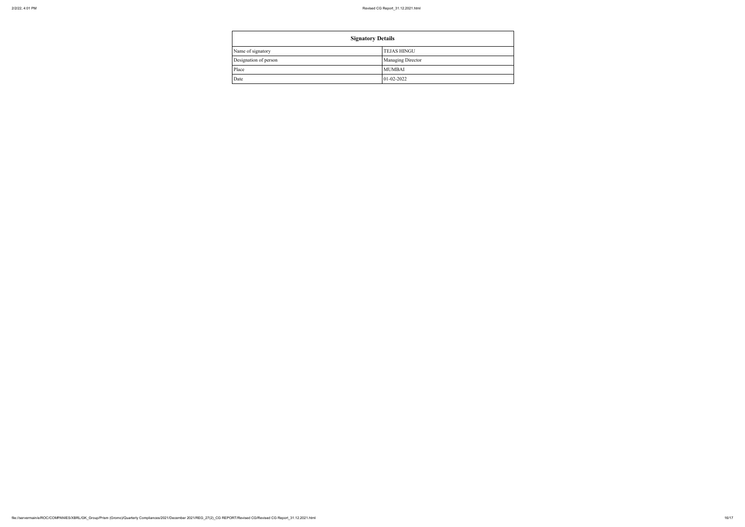| <b>Signatory Details</b> |                          |  |
|--------------------------|--------------------------|--|
| Name of signatory        | <b>TEJAS HINGU</b>       |  |
| Designation of person    | <b>Managing Director</b> |  |
| Place                    | <b>MUMBAI</b>            |  |
| Date                     | $01 - 02 - 2022$         |  |